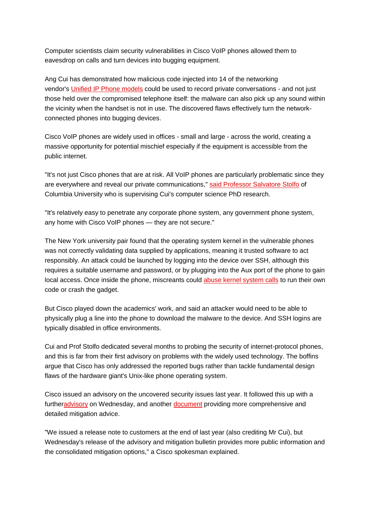Computer scientists claim security vulnerabilities in Cisco VoIP phones allowed them to eavesdrop on calls and turn devices into bugging equipment.

Ang Cui has demonstrated how malicious code injected into 14 of the networking vendor's [Unified IP Phone models](http://www.cisco.com/cisco/web/solutions/small_business/products/voice_conferencing/unified_ip_phones_7900_series/index.html) could be used to record private conversations - and not just those held over the compromised telephone itself: the malware can also pick up any sound within the vicinity when the handset is not in use. The discovered flaws effectively turn the networkconnected phones into bugging devices.

Cisco VoIP phones are widely used in offices - small and large - across the world, creating a massive opportunity for potential mischief especially if the equipment is accessible from the public internet.

"It's not just Cisco phones that are at risk. All VoIP phones are particularly problematic since they are everywhere and reveal our private communications," [said Professor Salvatore Stolfo](http://www.eurekalert.org/pub_releases/2013-01/cu-csf010713.php) of Columbia University who is supervising Cui's computer science PhD research.

"It's relatively easy to penetrate any corporate phone system, any government phone system, any home with Cisco VoIP phones — they are not secure."

The New York university pair found that the operating system kernel in the vulnerable phones was not correctly validating data supplied by applications, meaning it trusted software to act responsibly. An attack could be launched by logging into the device over SSH, although this requires a suitable username and password, or by plugging into the Aux port of the phone to gain local access. Once inside the phone, miscreants could [abuse kernel system calls](http://web.nvd.nist.gov/view/vuln/detail?vulnId=CVE-2012-5445) to run their own code or crash the gadget.

But Cisco played down the academics' work, and said an attacker would need to be able to physically plug a line into the phone to download the malware to the device. And SSH logins are typically disabled in office environments.

Cui and Prof Stolfo dedicated several months to probing the security of internet-protocol phones, and this is far from their first advisory on problems with the widely used technology. The boffins argue that Cisco has only addressed the reported bugs rather than tackle fundamental design flaws of the hardware giant's Unix-like phone operating system.

Cisco issued an advisory on the uncovered security issues last year. It followed this up with a furthe[radvisory](http://tools.cisco.com/security/center/content/CiscoSecurityAdvisory/cisco-sa-20130109-uipphone) on Wednesday, and another [document](http://tools.cisco.com/security/center/viewAMBAlert.x?alertId=27763) providing more comprehensive and detailed mitigation advice.

"We issued a release note to customers at the end of last year (also crediting Mr Cui), but Wednesday's release of the advisory and mitigation bulletin provides more public information and the consolidated mitigation options," a Cisco spokesman explained.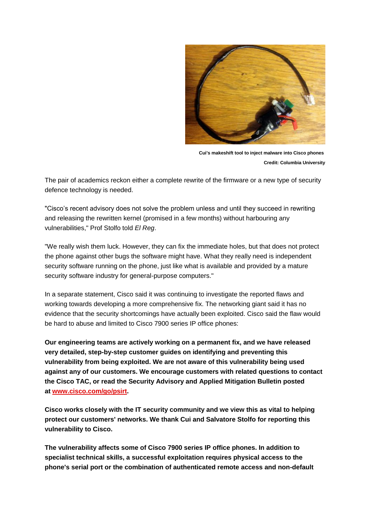

**Cui's makeshift tool to inject malware into Cisco phones Credit: Columbia University**

The pair of academics reckon either a complete rewrite of the firmware or a new type of security defence technology is needed.

"Cisco's recent advisory does not solve the problem unless and until they succeed in rewriting and releasing the rewritten kernel (promised in a few months) without harbouring any vulnerabilities," Prof Stolfo told *El Reg*.

"We really wish them luck. However, they can fix the immediate holes, but that does not protect the phone against other bugs the software might have. What they really need is independent security software running on the phone, just like what is available and provided by a mature security software industry for general-purpose computers."

In a separate statement, Cisco said it was continuing to investigate the reported flaws and working towards developing a more comprehensive fix. The networking giant said it has no evidence that the security shortcomings have actually been exploited. Cisco said the flaw would be hard to abuse and limited to Cisco 7900 series IP office phones:

**Our engineering teams are actively working on a permanent fix, and we have released very detailed, step-by-step customer guides on identifying and preventing this vulnerability from being exploited. We are not aware of this vulnerability being used against any of our customers. We encourage customers with related questions to contact the Cisco TAC, or read the Security Advisory and Applied Mitigation Bulletin posted at [www.cisco.com/go/psirt.](http://www.cisco.com/go/psirt)**

**Cisco works closely with the IT security community and we view this as vital to helping protect our customers' networks. We thank Cui and Salvatore Stolfo for reporting this vulnerability to Cisco.**

**The vulnerability affects some of Cisco 7900 series IP office phones. In addition to specialist technical skills, a successful exploitation requires physical access to the phone's serial port or the combination of authenticated remote access and non-default**